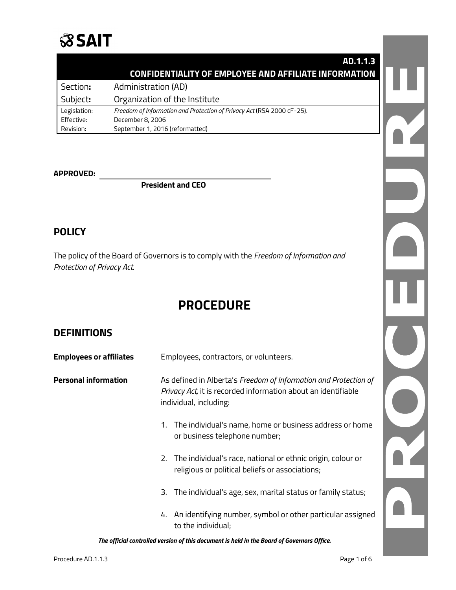

|              | AD.1.1.3                                                               |  |
|--------------|------------------------------------------------------------------------|--|
|              | <b>CONFIDENTIALITY OF EMPLOYEE AND AFFILIATE INFORMATION</b>           |  |
| Section:     | Administration (AD)                                                    |  |
| Subject:     | Organization of the Institute                                          |  |
| Legislation: | Freedom of Information and Protection of Privacy Act (RSA 2000 cF-25). |  |
| Effective:   | December 8, 2006                                                       |  |
| Revision:    | September 1, 2016 (reformatted)                                        |  |

#### **APPROVED:**

**President and CEO**

### **POLICY**

The policy of the Board of Governors is to comply with the *Freedom of Information and Protection of Privacy Act.*

## **PROCEDURE**

## **DEFINITIONS**

| <b>Employees or affiliates</b> | Employees, contractors, or volunteers.                                                                                                                      |
|--------------------------------|-------------------------------------------------------------------------------------------------------------------------------------------------------------|
| <b>Personal information</b>    | As defined in Alberta's Freedom of Information and Protection of<br>Privacy Act, it is recorded information about an identifiable<br>individual, including: |
|                                | 1. The individual's name, home or business address or home<br>or business telephone number;                                                                 |
|                                | 2. The individual's race, national or ethnic origin, colour or<br>religious or political beliefs or associations;                                           |
|                                | The individual's age, sex, marital status or family status;<br>3.                                                                                           |
|                                | 4. An identifying number, symbol or other particular assigned<br>to the individual;                                                                         |

*The official controlled version of this document is held in the Board of Governors Office.*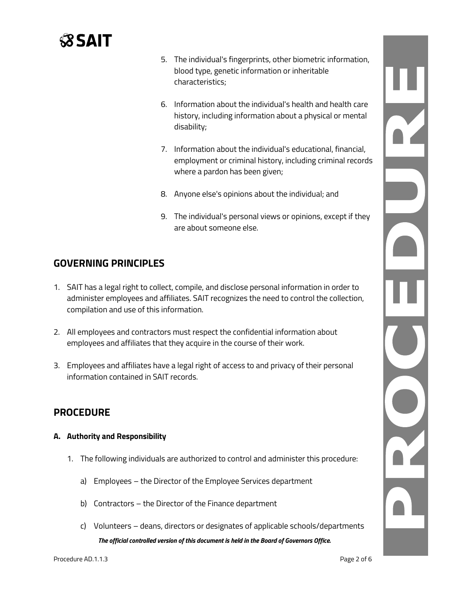# **SSAIT**

- 5. The individual's fingerprints, other biometric information, blood type, genetic information or inheritable characteristics;
- 6. Information about the individual's health and health care history, including information about a physical or mental disability;
- 7. Information about the individual's educational, financial, employment or criminal history, including criminal records where a pardon has been given;
- 8. Anyone else's opinions about the individual; and
- 9. The individual's personal views or opinions, except if they are about someone else.

## **GOVERNING PRINCIPLES**

- 1. SAIT has a legal right to collect, compile, and disclose personal information in order to administer employees and affiliates. SAIT recognizes the need to control the collection, compilation and use of this information.
- 2. All employees and contractors must respect the confidential information about employees and affiliates that they acquire in the course of their work.
- 3. Employees and affiliates have a legal right of access to and privacy of their personal information contained in SAIT records.

## **PROCEDURE**

#### **A. Authority and Responsibility**

- 1. The following individuals are authorized to control and administer this procedure:
	- a) Employees the Director of the Employee Services department
	- b) Contractors the Director of the Finance department
	- *The official controlled version of this document is held in the Board of Governors Office.* c) Volunteers – deans, directors or designates of applicable schools/departments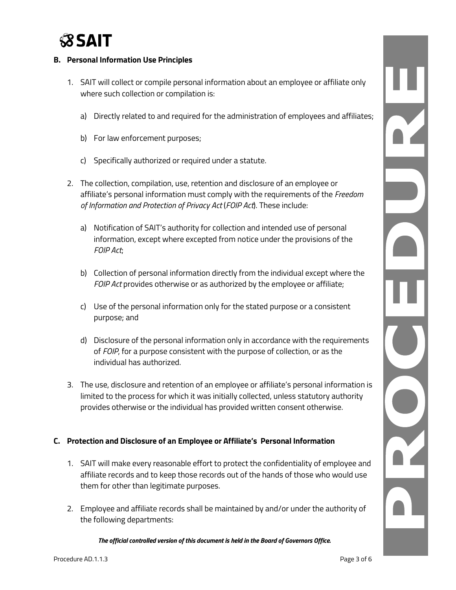

#### **B. Personal Information Use Principles**

- 1. SAIT will collect or compile personal information about an employee or affiliate only where such collection or compilation is:
	- a) Directly related to and required for the administration of employees and affiliates;
	- b) For law enforcement purposes;
	- c) Specifically authorized or required under a statute.
- 2. The collection, compilation, use, retention and disclosure of an employee or affiliate's personal information must comply with the requirements of the *Freedom of Information and Protection of Privacy Act* (*FOIP Act*). These include:
	- a) Notification of SAIT's authority for collection and intended use of personal information, except where excepted from notice under the provisions of the *FOIP Act*;
	- b) Collection of personal information directly from the individual except where the *FOIP Act* provides otherwise or as authorized by the employee or affiliate;
	- c) Use of the personal information only for the stated purpose or a consistent purpose; and
	- d) Disclosure of the personal information only in accordance with the requirements of *FOIP*, for a purpose consistent with the purpose of collection, or as the individual has authorized.
- 3. The use, disclosure and retention of an employee or affiliate's personal information is limited to the process for which it was initially collected, unless statutory authority provides otherwise or the individual has provided written consent otherwise.

#### **C. Protection and Disclosure of an Employee or Affiliate's Personal Information**

- 1. SAIT will make every reasonable effort to protect the confidentiality of employee and affiliate records and to keep those records out of the hands of those who would use them for other than legitimate purposes.
- 2. Employee and affiliate records shall be maintained by and/or under the authority of the following departments: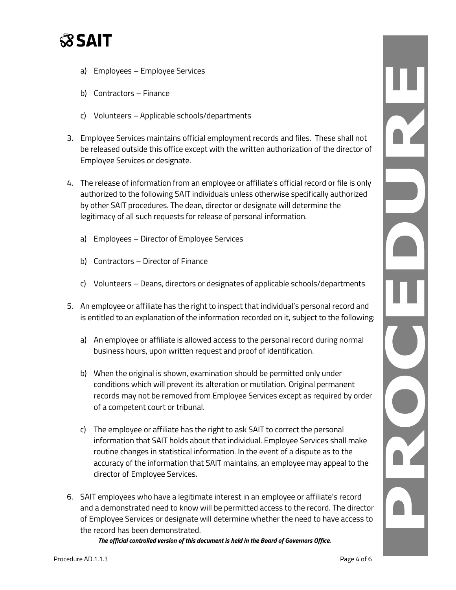

- a) Employees Employee Services
- b) Contractors Finance
- c) Volunteers Applicable schools/departments
- 3. Employee Services maintains official employment records and files. These shall not be released outside this office except with the written authorization of the director of Employee Services or designate.
- 4. The release of information from an employee or affiliate's official record or file is only authorized to the following SAIT individuals unless otherwise specifically authorized by other SAIT procedures. The dean, director or designate will determine the legitimacy of all such requests for release of personal information.
	- a) Employees Director of Employee Services
	- b) Contractors Director of Finance
	- c) Volunteers Deans, directors or designates of applicable schools/departments
- 5. An employee or affiliate has the right to inspect that individual's personal record and is entitled to an explanation of the information recorded on it, subject to the following:
	- a) An employee or affiliate is allowed access to the personal record during normal business hours, upon written request and proof of identification.
	- b) When the original is shown, examination should be permitted only under conditions which will prevent its alteration or mutilation. Original permanent records may not be removed from Employee Services except as required by order of a competent court or tribunal.
	- c) The employee or affiliate has the right to ask SAIT to correct the personal information that SAIT holds about that individual. Employee Services shall make routine changes in statistical information. In the event of a dispute as to the accuracy of the information that SAIT maintains, an employee may appeal to the director of Employee Services.
- 6. SAIT employees who have a legitimate interest in an employee or affiliate's record and a demonstrated need to know will be permitted access to the record. The director of Employee Services or designate will determine whether the need to have access to the record has been demonstrated.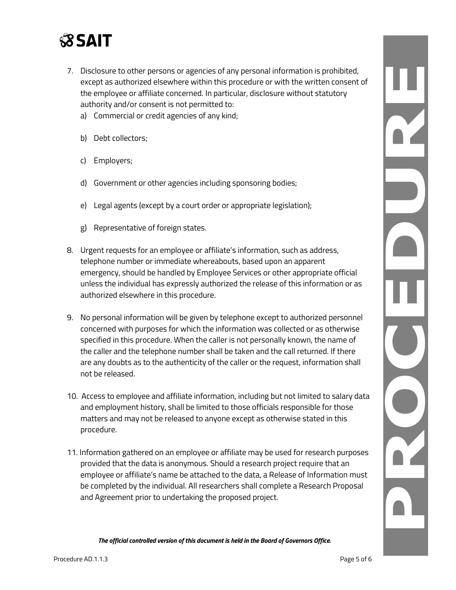

- 7. Disclosure to other persons or agencies of any personal information is prohibited, except as authorized elsewhere within this procedure or with the written consent of the employee or affiliate concerned. In particular, disclosure without statutory authority and/or consent is not permitted to:
	- a) Commercial or credit agencies of any kind;
	- b) Debt collectors;
	- c) Employers;
	- d) Government or other agencies including sponsoring bodies;
	- e) Legal agents (except by a court order or appropriate legislation);
	- g) Representative of foreign states.
- 8. Urgent requests for an employee or affiliate's information, such as address, telephone number or immediate whereabouts, based upon an apparent emergency, should be handled by Employee Services or other appropriate official unless the individual has expressly authorized the release of this information or as authorized elsewhere in this procedure.
- 9. No personal information will be given by telephone except to authorized personnel concerned with purposes for which the information was collected or as otherwise specified in this procedure. When the caller is not personally known, the name of the caller and the telephone number shall be taken and the call returned. If there are any doubts as to the authenticity of the caller or the request, information shall not be released.
- 10. Access to employee and affiliate information, including but not limited to salary data and employment history, shall be limited to those officials responsible for those matters and may not be released to anyone except as otherwise stated in this procedure.
- 11. Information gathered on an employee or affiliate may be used for research purposes provided that the data is anonymous. Should a research project require that an employee or affiliate's name be attached to the data, a Release of Information must be completed by the individual. All researchers shall complete a Research Proposal and Agreement prior to undertaking the proposed project.